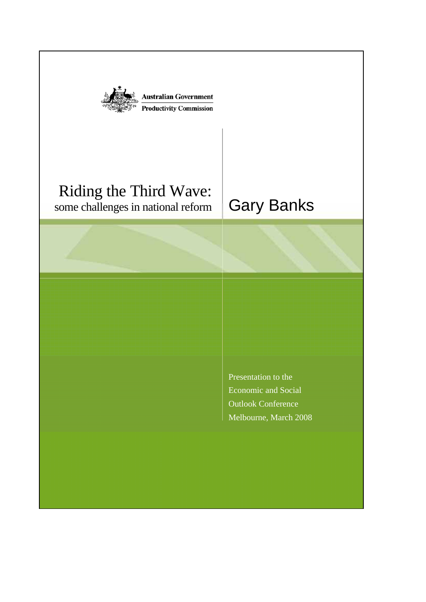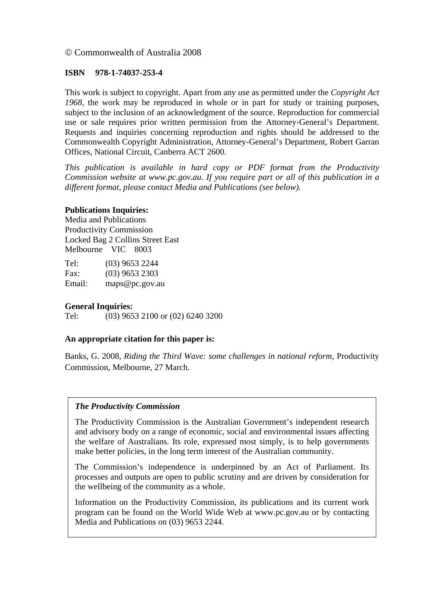#### © Commonwealth of Australia 2008

#### **ISBN 978-1-74037-253-4**

This work is subject to copyright. Apart from any use as permitted under the *Copyright Act 1968*, the work may be reproduced in whole or in part for study or training purposes, subject to the inclusion of an acknowledgment of the source. Reproduction for commercial use or sale requires prior written permission from the Attorney-General's Department. Requests and inquiries concerning reproduction and rights should be addressed to the Commonwealth Copyright Administration, Attorney-General's Department, Robert Garran Offices, National Circuit, Canberra ACT 2600.

*This publication is available in hard copy or PDF format from the Productivity Commission website at www.pc.gov.au. If you require part or all of this publication in a different format, please contact Media and Publications (see below).* 

#### **Publications Inquiries:**

Media and Publications Productivity Commission Locked Bag 2 Collins Street East Melbourne VIC 8003

Tel: (03) 9653 2244 Fax: (03) 9653 2303 Email: maps@pc.gov.au

#### **General Inquiries:**

Tel: (03) 9653 2100 or (02) 6240 3200

#### **An appropriate citation for this paper is:**

Banks, G. 2008, *Riding the Third Wave: some challenges in national reform,* Productivity Commission, Melbourne, 27 March.

#### *The Productivity Commission*

The Productivity Commission is the Australian Government's independent research and advisory body on a range of economic, social and environmental issues affecting the welfare of Australians. Its role, expressed most simply, is to help governments make better policies, in the long term interest of the Australian community.

The Commission's independence is underpinned by an Act of Parliament. Its processes and outputs are open to public scrutiny and are driven by consideration for the wellbeing of the community as a whole.

Information on the Productivity Commission, its publications and its current work program can be found on the World Wide Web at www.pc.gov.au or by contacting Media and Publications on (03) 9653 2244.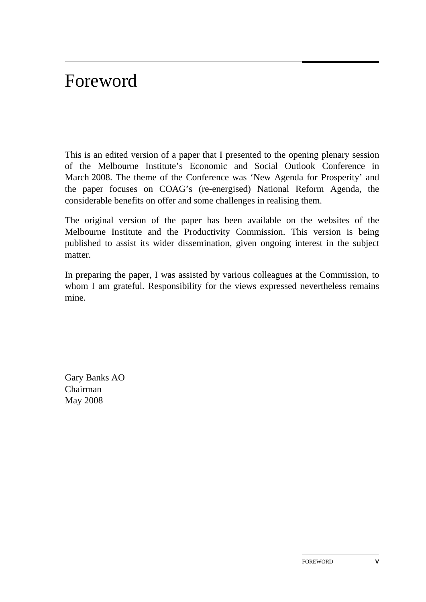# Foreword

This is an edited version of a paper that I presented to the opening plenary session of the Melbourne Institute's Economic and Social Outlook Conference in March 2008. The theme of the Conference was 'New Agenda for Prosperity' and the paper focuses on COAG's (re-energised) National Reform Agenda, the considerable benefits on offer and some challenges in realising them.

The original version of the paper has been available on the websites of the Melbourne Institute and the Productivity Commission. This version is being published to assist its wider dissemination, given ongoing interest in the subject matter.

In preparing the paper, I was assisted by various colleagues at the Commission, to whom I am grateful. Responsibility for the views expressed nevertheless remains mine.

Gary Banks AO Chairman May 2008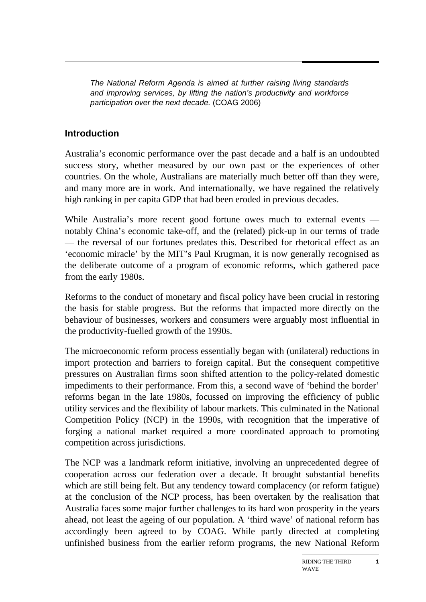*The National Reform Agenda is aimed at further raising living standards and improving services, by lifting the nation's productivity and workforce participation over the next decade.* (COAG 2006)

## **Introduction**

Australia's economic performance over the past decade and a half is an undoubted success story, whether measured by our own past or the experiences of other countries. On the whole, Australians are materially much better off than they were, and many more are in work. And internationally, we have regained the relatively high ranking in per capita GDP that had been eroded in previous decades.

While Australia's more recent good fortune owes much to external events notably China's economic take-off, and the (related) pick-up in our terms of trade — the reversal of our fortunes predates this. Described for rhetorical effect as an 'economic miracle' by the MIT's Paul Krugman, it is now generally recognised as the deliberate outcome of a program of economic reforms, which gathered pace from the early 1980s.

Reforms to the conduct of monetary and fiscal policy have been crucial in restoring the basis for stable progress. But the reforms that impacted more directly on the behaviour of businesses, workers and consumers were arguably most influential in the productivity-fuelled growth of the 1990s.

The microeconomic reform process essentially began with (unilateral) reductions in import protection and barriers to foreign capital. But the consequent competitive pressures on Australian firms soon shifted attention to the policy-related domestic impediments to their performance. From this, a second wave of 'behind the border' reforms began in the late 1980s, focussed on improving the efficiency of public utility services and the flexibility of labour markets. This culminated in the National Competition Policy (NCP) in the 1990s, with recognition that the imperative of forging a national market required a more coordinated approach to promoting competition across jurisdictions.

The NCP was a landmark reform initiative, involving an unprecedented degree of cooperation across our federation over a decade. It brought substantial benefits which are still being felt. But any tendency toward complacency (or reform fatigue) at the conclusion of the NCP process, has been overtaken by the realisation that Australia faces some major further challenges to its hard won prosperity in the years ahead, not least the ageing of our population. A 'third wave' of national reform has accordingly been agreed to by COAG. While partly directed at completing unfinished business from the earlier reform programs, the new National Reform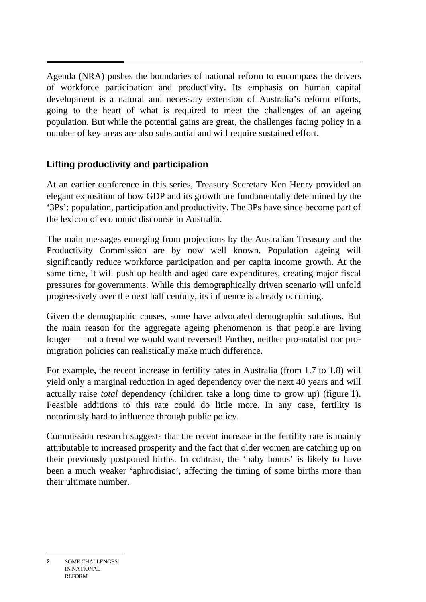Agenda (NRA) pushes the boundaries of national reform to encompass the drivers of workforce participation and productivity. Its emphasis on human capital development is a natural and necessary extension of Australia's reform efforts, going to the heart of what is required to meet the challenges of an ageing population. But while the potential gains are great, the challenges facing policy in a number of key areas are also substantial and will require sustained effort.

# **Lifting productivity and participation**

At an earlier conference in this series, Treasury Secretary Ken Henry provided an elegant exposition of how GDP and its growth are fundamentally determined by the '3Ps': population, participation and productivity. The 3Ps have since become part of the lexicon of economic discourse in Australia.

The main messages emerging from projections by the Australian Treasury and the Productivity Commission are by now well known. Population ageing will significantly reduce workforce participation and per capita income growth. At the same time, it will push up health and aged care expenditures, creating major fiscal pressures for governments. While this demographically driven scenario will unfold progressively over the next half century, its influence is already occurring.

Given the demographic causes, some have advocated demographic solutions. But the main reason for the aggregate ageing phenomenon is that people are living longer — not a trend we would want reversed! Further, neither pro-natalist nor promigration policies can realistically make much difference.

For example, the recent increase in fertility rates in Australia (from 1.7 to 1.8) will yield only a marginal reduction in aged dependency over the next 40 years and will actually raise *total* dependency (children take a long time to grow up) (figure 1). Feasible additions to this rate could do little more. In any case, fertility is notoriously hard to influence through public policy.

Commission research suggests that the recent increase in the fertility rate is mainly attributable to increased prosperity and the fact that older women are catching up on their previously postponed births. In contrast, the 'baby bonus' is likely to have been a much weaker 'aphrodisiac', affecting the timing of some births more than their ultimate number.

**<sup>2</sup>** SOME CHALLENGES IN NATIONAL REFORM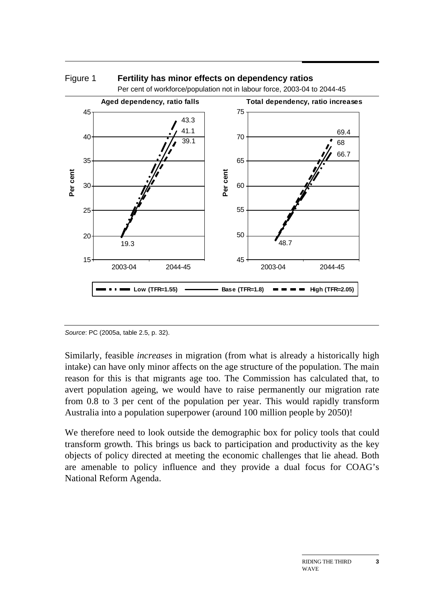

Figure 1 **Fertility has minor effects on dependency ratios** 

*Source*: PC (2005a, table 2.5, p. 32).

Similarly, feasible *increases* in migration (from what is already a historically high intake) can have only minor affects on the age structure of the population. The main reason for this is that migrants age too. The Commission has calculated that, to avert population ageing, we would have to raise permanently our migration rate from 0.8 to 3 per cent of the population per year. This would rapidly transform Australia into a population superpower (around 100 million people by 2050)!

We therefore need to look outside the demographic box for policy tools that could transform growth. This brings us back to participation and productivity as the key objects of policy directed at meeting the economic challenges that lie ahead. Both are amenable to policy influence and they provide a dual focus for COAG's National Reform Agenda.

**3**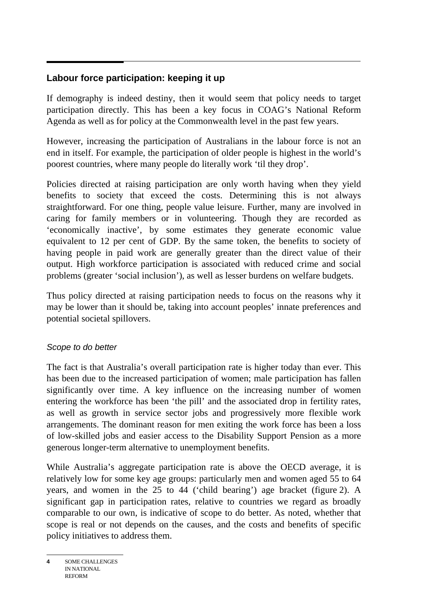# **Labour force participation: keeping it up**

If demography is indeed destiny, then it would seem that policy needs to target participation directly. This has been a key focus in COAG's National Reform Agenda as well as for policy at the Commonwealth level in the past few years.

However, increasing the participation of Australians in the labour force is not an end in itself. For example, the participation of older people is highest in the world's poorest countries, where many people do literally work 'til they drop'.

Policies directed at raising participation are only worth having when they yield benefits to society that exceed the costs. Determining this is not always straightforward. For one thing, people value leisure. Further, many are involved in caring for family members or in volunteering. Though they are recorded as 'economically inactive', by some estimates they generate economic value equivalent to 12 per cent of GDP. By the same token, the benefits to society of having people in paid work are generally greater than the direct value of their output. High workforce participation is associated with reduced crime and social problems (greater 'social inclusion'), as well as lesser burdens on welfare budgets.

Thus policy directed at raising participation needs to focus on the reasons why it may be lower than it should be, taking into account peoples' innate preferences and potential societal spillovers.

## *Scope to do better*

The fact is that Australia's overall participation rate is higher today than ever. This has been due to the increased participation of women; male participation has fallen significantly over time. A key influence on the increasing number of women entering the workforce has been 'the pill' and the associated drop in fertility rates, as well as growth in service sector jobs and progressively more flexible work arrangements. The dominant reason for men exiting the work force has been a loss of low-skilled jobs and easier access to the Disability Support Pension as a more generous longer-term alternative to unemployment benefits.

While Australia's aggregate participation rate is above the OECD average, it is relatively low for some key age groups: particularly men and women aged 55 to 64 years, and women in the 25 to 44 ('child bearing') age bracket (figure 2). A significant gap in participation rates, relative to countries we regard as broadly comparable to our own, is indicative of scope to do better. As noted, whether that scope is real or not depends on the causes, and the costs and benefits of specific policy initiatives to address them.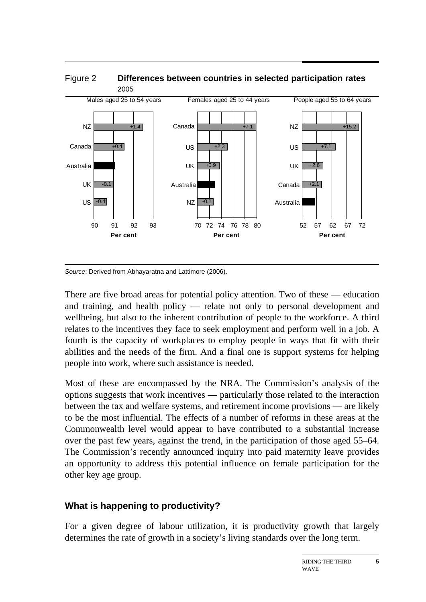

*Source*: Derived from Abhayaratna and Lattimore (2006).

There are five broad areas for potential policy attention. Two of these — education and training, and health policy — relate not only to personal development and wellbeing, but also to the inherent contribution of people to the workforce. A third relates to the incentives they face to seek employment and perform well in a job. A fourth is the capacity of workplaces to employ people in ways that fit with their abilities and the needs of the firm. And a final one is support systems for helping people into work, where such assistance is needed.

Most of these are encompassed by the NRA. The Commission's analysis of the options suggests that work incentives — particularly those related to the interaction between the tax and welfare systems, and retirement income provisions — are likely to be the most influential. The effects of a number of reforms in these areas at the Commonwealth level would appear to have contributed to a substantial increase over the past few years, against the trend, in the participation of those aged 55–64. The Commission's recently announced inquiry into paid maternity leave provides an opportunity to address this potential influence on female participation for the other key age group.

# **What is happening to productivity?**

For a given degree of labour utilization, it is productivity growth that largely determines the rate of growth in a society's living standards over the long term.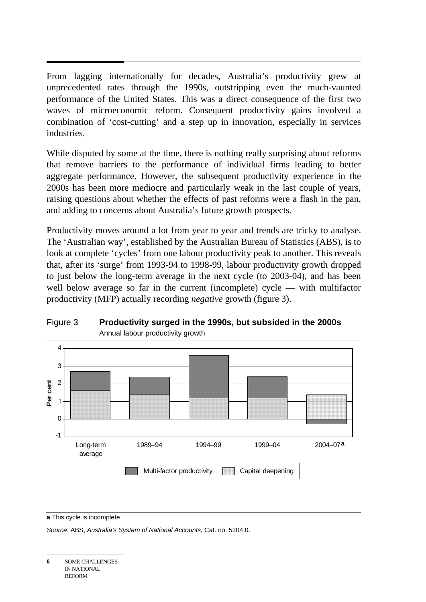$\overline{a}$ From lagging internationally for decades, Australia's productivity grew at unprecedented rates through the 1990s, outstripping even the much-vaunted performance of the United States. This was a direct consequence of the first two waves of microeconomic reform. Consequent productivity gains involved a combination of 'cost-cutting' and a step up in innovation, especially in services industries.

While disputed by some at the time, there is nothing really surprising about reforms that remove barriers to the performance of individual firms leading to better aggregate performance. However, the subsequent productivity experience in the 2000s has been more mediocre and particularly weak in the last couple of years, raising questions about whether the effects of past reforms were a flash in the pan, and adding to concerns about Australia's future growth prospects.

Productivity moves around a lot from year to year and trends are tricky to analyse. The 'Australian way', established by the Australian Bureau of Statistics (ABS), is to look at complete 'cycles' from one labour productivity peak to another. This reveals that, after its 'surge' from 1993-94 to 1998-99, labour productivity growth dropped to just below the long-term average in the next cycle (to 2003-04), and has been well below average so far in the current (incomplete) cycle — with multifactor productivity (MFP) actually recording *negative* growth (figure 3).



#### Figure 3 **Productivity surged in the 1990s, but subsided in the 2000s**  Annual labour productivity growth

**a** This cycle is incomplete

*Source*: ABS, *Australia's System of National Accounts*, Cat. no. 5204.0.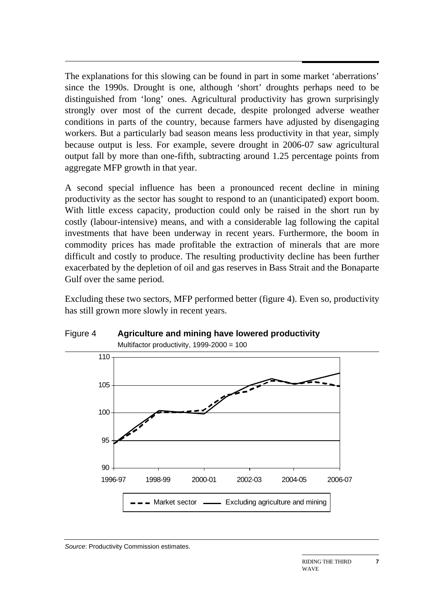$\overline{a}$ The explanations for this slowing can be found in part in some market 'aberrations' since the 1990s. Drought is one, although 'short' droughts perhaps need to be distinguished from 'long' ones. Agricultural productivity has grown surprisingly strongly over most of the current decade, despite prolonged adverse weather conditions in parts of the country, because farmers have adjusted by disengaging workers. But a particularly bad season means less productivity in that year, simply because output is less. For example, severe drought in 2006-07 saw agricultural output fall by more than one-fifth, subtracting around 1.25 percentage points from aggregate MFP growth in that year.

A second special influence has been a pronounced recent decline in mining productivity as the sector has sought to respond to an (unanticipated) export boom. With little excess capacity, production could only be raised in the short run by costly (labour-intensive) means, and with a considerable lag following the capital investments that have been underway in recent years. Furthermore, the boom in commodity prices has made profitable the extraction of minerals that are more difficult and costly to produce. The resulting productivity decline has been further exacerbated by the depletion of oil and gas reserves in Bass Strait and the Bonaparte Gulf over the same period.

Excluding these two sectors, MFP performed better (figure 4). Even so, productivity has still grown more slowly in recent years.



#### Figure 4 **Agriculture and mining have lowered productivity**  Multifactor productivity, 1999-2000 = 100

*Source*: Productivity Commission estimates.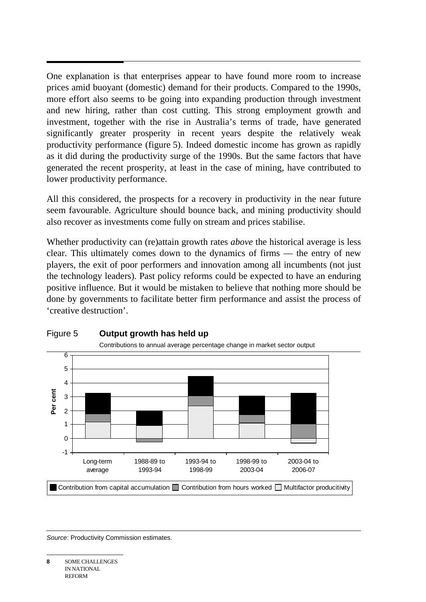$\overline{a}$ One explanation is that enterprises appear to have found more room to increase prices amid buoyant (domestic) demand for their products. Compared to the 1990s, more effort also seems to be going into expanding production through investment and new hiring, rather than cost cutting. This strong employment growth and investment, together with the rise in Australia's terms of trade, have generated significantly greater prosperity in recent years despite the relatively weak productivity performance (figure 5). Indeed domestic income has grown as rapidly as it did during the productivity surge of the 1990s. But the same factors that have generated the recent prosperity, at least in the case of mining, have contributed to lower productivity performance.

All this considered, the prospects for a recovery in productivity in the near future seem favourable. Agriculture should bounce back, and mining productivity should also recover as investments come fully on stream and prices stabilise.

Whether productivity can (re)attain growth rates *above* the historical average is less clear. This ultimately comes down to the dynamics of firms — the entry of new players, the exit of poor performers and innovation among all incumbents (not just the technology leaders). Past policy reforms could be expected to have an enduring positive influence. But it would be mistaken to believe that nothing more should be done by governments to facilitate better firm performance and assist the process of 'creative destruction'.



#### Figure 5 **Output growth has held up**

*Source*: Productivity Commission estimates.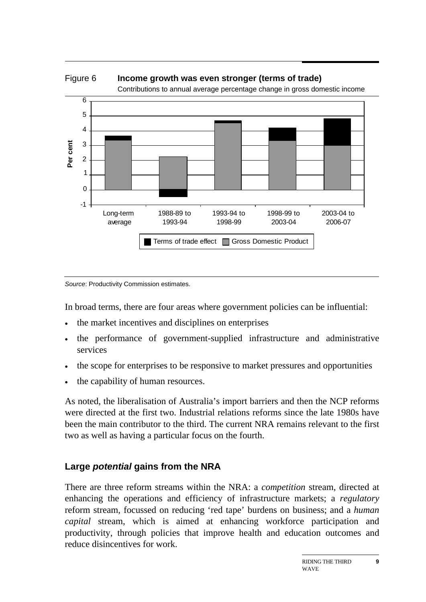

Figure 6 **Income growth was even stronger (terms of trade)** 

*Source*: Productivity Commission estimates.

In broad terms, there are four areas where government policies can be influential:

- the market incentives and disciplines on enterprises
- the performance of government-supplied infrastructure and administrative services
- the scope for enterprises to be responsive to market pressures and opportunities
- the capability of human resources.

As noted, the liberalisation of Australia's import barriers and then the NCP reforms were directed at the first two. Industrial relations reforms since the late 1980s have been the main contributor to the third. The current NRA remains relevant to the first two as well as having a particular focus on the fourth.

#### **Large** *potential* **gains from the NRA**

There are three reform streams within the NRA: a *competition* stream, directed at enhancing the operations and efficiency of infrastructure markets; a *regulatory* reform stream, focussed on reducing 'red tape' burdens on business; and a *human capital* stream, which is aimed at enhancing workforce participation and productivity, through policies that improve health and education outcomes and reduce disincentives for work.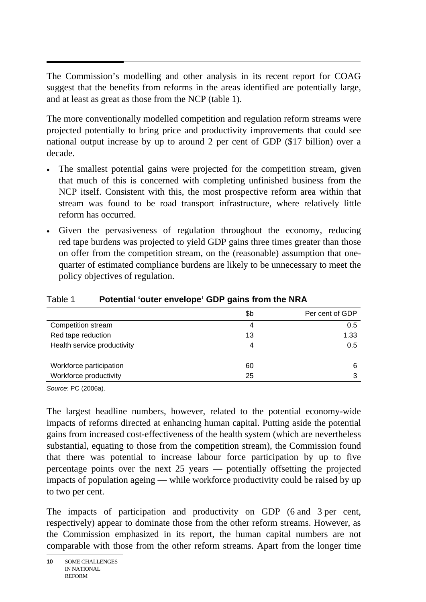$\overline{a}$ The Commission's modelling and other analysis in its recent report for COAG suggest that the benefits from reforms in the areas identified are potentially large, and at least as great as those from the NCP (table 1).

The more conventionally modelled competition and regulation reform streams were projected potentially to bring price and productivity improvements that could see national output increase by up to around 2 per cent of GDP (\$17 billion) over a decade.

- The smallest potential gains were projected for the competition stream, given that much of this is concerned with completing unfinished business from the NCP itself. Consistent with this, the most prospective reform area within that stream was found to be road transport infrastructure, where relatively little reform has occurred.
- Given the pervasiveness of regulation throughout the economy, reducing red tape burdens was projected to yield GDP gains three times greater than those on offer from the competition stream, on the (reasonable) assumption that onequarter of estimated compliance burdens are likely to be unnecessary to meet the policy objectives of regulation.

|                             | \$b | Per cent of GDP |
|-----------------------------|-----|-----------------|
| Competition stream          | 4   | 0.5             |
| Red tape reduction          | 13  | 1.33            |
| Health service productivity | 4   | 0.5             |
|                             |     |                 |
| Workforce participation     | 60  | 6               |
| Workforce productivity      | 25  |                 |

#### Table 1 **Potential 'outer envelope' GDP gains from the NRA**

*Source*: PC (2006a).

The largest headline numbers, however, related to the potential economy-wide impacts of reforms directed at enhancing human capital. Putting aside the potential gains from increased cost-effectiveness of the health system (which are nevertheless substantial, equating to those from the competition stream), the Commission found that there was potential to increase labour force participation by up to five percentage points over the next 25 years — potentially offsetting the projected impacts of population ageing — while workforce productivity could be raised by up to two per cent.

The impacts of participation and productivity on GDP (6 and 3 per cent, respectively) appear to dominate those from the other reform streams. However, as the Commission emphasized in its report, the human capital numbers are not comparable with those from the other reform streams. Apart from the longer time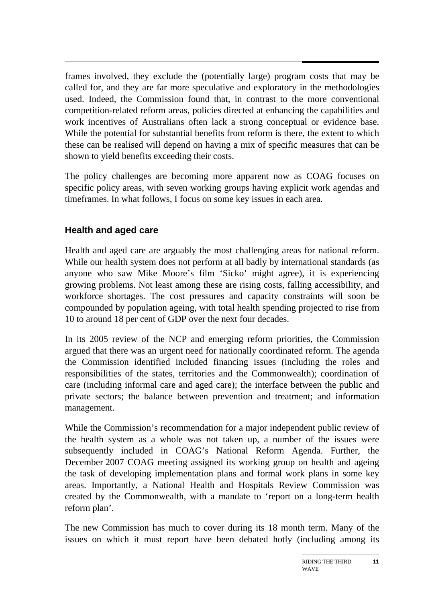$\overline{a}$ frames involved, they exclude the (potentially large) program costs that may be called for, and they are far more speculative and exploratory in the methodologies used. Indeed, the Commission found that, in contrast to the more conventional competition-related reform areas, policies directed at enhancing the capabilities and work incentives of Australians often lack a strong conceptual or evidence base. While the potential for substantial benefits from reform is there, the extent to which these can be realised will depend on having a mix of specific measures that can be shown to yield benefits exceeding their costs.

The policy challenges are becoming more apparent now as COAG focuses on specific policy areas, with seven working groups having explicit work agendas and timeframes. In what follows, I focus on some key issues in each area.

# **Health and aged care**

Health and aged care are arguably the most challenging areas for national reform. While our health system does not perform at all badly by international standards (as anyone who saw Mike Moore's film 'Sicko' might agree), it is experiencing growing problems. Not least among these are rising costs, falling accessibility, and workforce shortages. The cost pressures and capacity constraints will soon be compounded by population ageing, with total health spending projected to rise from 10 to around 18 per cent of GDP over the next four decades.

In its 2005 review of the NCP and emerging reform priorities, the Commission argued that there was an urgent need for nationally coordinated reform. The agenda the Commission identified included financing issues (including the roles and responsibilities of the states, territories and the Commonwealth); coordination of care (including informal care and aged care); the interface between the public and private sectors; the balance between prevention and treatment; and information management.

While the Commission's recommendation for a major independent public review of the health system as a whole was not taken up, a number of the issues were subsequently included in COAG's National Reform Agenda. Further, the December 2007 COAG meeting assigned its working group on health and ageing the task of developing implementation plans and formal work plans in some key areas. Importantly, a National Health and Hospitals Review Commission was created by the Commonwealth, with a mandate to 'report on a long-term health reform plan'.

The new Commission has much to cover during its 18 month term. Many of the issues on which it must report have been debated hotly (including among its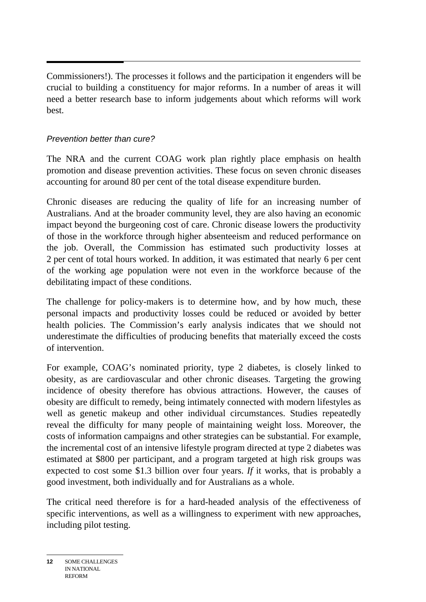$\overline{a}$ Commissioners!). The processes it follows and the participation it engenders will be crucial to building a constituency for major reforms. In a number of areas it will need a better research base to inform judgements about which reforms will work best.

## *Prevention better than cure?*

The NRA and the current COAG work plan rightly place emphasis on health promotion and disease prevention activities. These focus on seven chronic diseases accounting for around 80 per cent of the total disease expenditure burden.

Chronic diseases are reducing the quality of life for an increasing number of Australians. And at the broader community level, they are also having an economic impact beyond the burgeoning cost of care. Chronic disease lowers the productivity of those in the workforce through higher absenteeism and reduced performance on the job. Overall, the Commission has estimated such productivity losses at 2 per cent of total hours worked. In addition, it was estimated that nearly 6 per cent of the working age population were not even in the workforce because of the debilitating impact of these conditions.

The challenge for policy-makers is to determine how, and by how much, these personal impacts and productivity losses could be reduced or avoided by better health policies. The Commission's early analysis indicates that we should not underestimate the difficulties of producing benefits that materially exceed the costs of intervention.

For example, COAG's nominated priority, type 2 diabetes, is closely linked to obesity, as are cardiovascular and other chronic diseases. Targeting the growing incidence of obesity therefore has obvious attractions. However, the causes of obesity are difficult to remedy, being intimately connected with modern lifestyles as well as genetic makeup and other individual circumstances. Studies repeatedly reveal the difficulty for many people of maintaining weight loss. Moreover, the costs of information campaigns and other strategies can be substantial. For example, the incremental cost of an intensive lifestyle program directed at type 2 diabetes was estimated at \$800 per participant, and a program targeted at high risk groups was expected to cost some \$1.3 billion over four years. *If* it works, that is probably a good investment, both individually and for Australians as a whole.

The critical need therefore is for a hard-headed analysis of the effectiveness of specific interventions, as well as a willingness to experiment with new approaches, including pilot testing.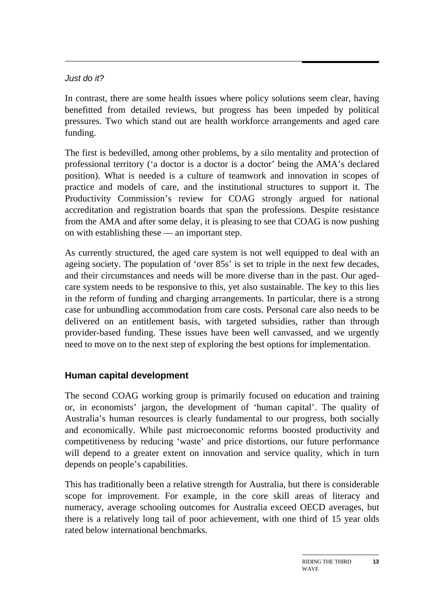## *Just do it?*

In contrast, there are some health issues where policy solutions seem clear, having benefitted from detailed reviews, but progress has been impeded by political pressures. Two which stand out are health workforce arrangements and aged care funding.

The first is bedevilled, among other problems, by a silo mentality and protection of professional territory ('a doctor is a doctor is a doctor' being the AMA's declared position). What is needed is a culture of teamwork and innovation in scopes of practice and models of care, and the institutional structures to support it. The Productivity Commission's review for COAG strongly argued for national accreditation and registration boards that span the professions. Despite resistance from the AMA and after some delay, it is pleasing to see that COAG is now pushing on with establishing these — an important step.

As currently structured, the aged care system is not well equipped to deal with an ageing society. The population of 'over 85s' is set to triple in the next few decades, and their circumstances and needs will be more diverse than in the past. Our agedcare system needs to be responsive to this, yet also sustainable. The key to this lies in the reform of funding and charging arrangements. In particular, there is a strong case for unbundling accommodation from care costs. Personal care also needs to be delivered on an entitlement basis, with targeted subsidies, rather than through provider-based funding. These issues have been well canvassed, and we urgently need to move on to the next step of exploring the best options for implementation.

# **Human capital development**

The second COAG working group is primarily focused on education and training or, in economists' jargon, the development of 'human capital'. The quality of Australia's human resources is clearly fundamental to our progress, both socially and economically. While past microeconomic reforms boosted productivity and competitiveness by reducing 'waste' and price distortions, our future performance will depend to a greater extent on innovation and service quality, which in turn depends on people's capabilities.

This has traditionally been a relative strength for Australia, but there is considerable scope for improvement. For example, in the core skill areas of literacy and numeracy, average schooling outcomes for Australia exceed OECD averages, but there is a relatively long tail of poor achievement, with one third of 15 year olds rated below international benchmarks.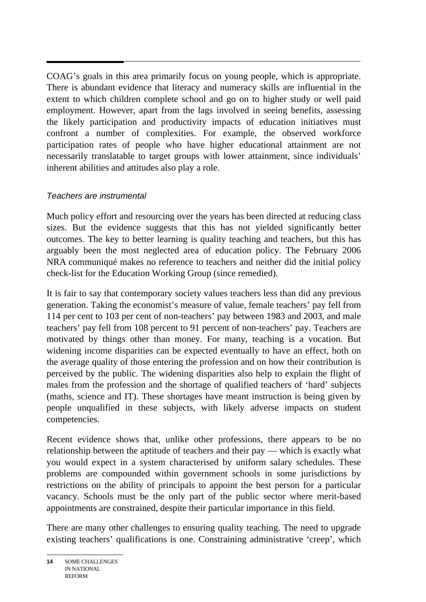$\overline{a}$ COAG's goals in this area primarily focus on young people, which is appropriate. There is abundant evidence that literacy and numeracy skills are influential in the extent to which children complete school and go on to higher study or well paid employment. However, apart from the lags involved in seeing benefits, assessing the likely participation and productivity impacts of education initiatives must confront a number of complexities. For example, the observed workforce participation rates of people who have higher educational attainment are not necessarily translatable to target groups with lower attainment, since individuals' inherent abilities and attitudes also play a role.

## *Teachers are instrumental*

Much policy effort and resourcing over the years has been directed at reducing class sizes. But the evidence suggests that this has not yielded significantly better outcomes. The key to better learning is quality teaching and teachers, but this has arguably been the most neglected area of education policy. The February 2006 NRA communiqué makes no reference to teachers and neither did the initial policy check-list for the Education Working Group (since remedied).

It is fair to say that contemporary society values teachers less than did any previous generation. Taking the economist's measure of value, female teachers' pay fell from 114 per cent to 103 per cent of non-teachers' pay between 1983 and 2003, and male teachers' pay fell from 108 percent to 91 percent of non-teachers' pay. Teachers are motivated by things other than money. For many, teaching is a vocation. But widening income disparities can be expected eventually to have an effect, both on the average quality of those entering the profession and on how their contribution is perceived by the public. The widening disparities also help to explain the flight of males from the profession and the shortage of qualified teachers of 'hard' subjects (maths, science and IT). These shortages have meant instruction is being given by people unqualified in these subjects, with likely adverse impacts on student competencies.

Recent evidence shows that, unlike other professions, there appears to be no relationship between the aptitude of teachers and their pay — which is exactly what you would expect in a system characterised by uniform salary schedules. These problems are compounded within government schools in some jurisdictions by restrictions on the ability of principals to appoint the best person for a particular vacancy. Schools must be the only part of the public sector where merit-based appointments are constrained, despite their particular importance in this field.

There are many other challenges to ensuring quality teaching. The need to upgrade existing teachers' qualifications is one. Constraining administrative 'creep', which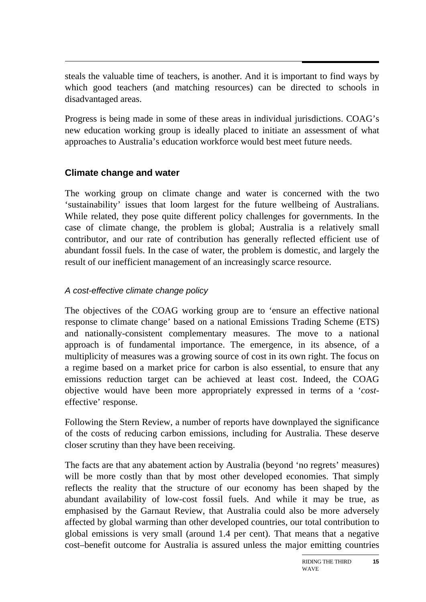steals the valuable time of teachers, is another. And it is important to find ways by which good teachers (and matching resources) can be directed to schools in disadvantaged areas.

Progress is being made in some of these areas in individual jurisdictions. COAG's new education working group is ideally placed to initiate an assessment of what approaches to Australia's education workforce would best meet future needs.

# **Climate change and water**

The working group on climate change and water is concerned with the two 'sustainability' issues that loom largest for the future wellbeing of Australians. While related, they pose quite different policy challenges for governments. In the case of climate change, the problem is global; Australia is a relatively small contributor, and our rate of contribution has generally reflected efficient use of abundant fossil fuels. In the case of water, the problem is domestic, and largely the result of our inefficient management of an increasingly scarce resource.

# *A cost-effective climate change policy*

The objectives of the COAG working group are to 'ensure an effective national response to climate change' based on a national Emissions Trading Scheme (ETS) and nationally-consistent complementary measures. The move to a national approach is of fundamental importance. The emergence, in its absence, of a multiplicity of measures was a growing source of cost in its own right. The focus on a regime based on a market price for carbon is also essential, to ensure that any emissions reduction target can be achieved at least cost. Indeed, the COAG objective would have been more appropriately expressed in terms of a '*cost*effective' response.

Following the Stern Review, a number of reports have downplayed the significance of the costs of reducing carbon emissions, including for Australia. These deserve closer scrutiny than they have been receiving.

The facts are that any abatement action by Australia (beyond 'no regrets' measures) will be more costly than that by most other developed economies. That simply reflects the reality that the structure of our economy has been shaped by the abundant availability of low-cost fossil fuels. And while it may be true, as emphasised by the Garnaut Review, that Australia could also be more adversely affected by global warming than other developed countries, our total contribution to global emissions is very small (around 1.4 per cent). That means that a negative cost–benefit outcome for Australia is assured unless the major emitting countries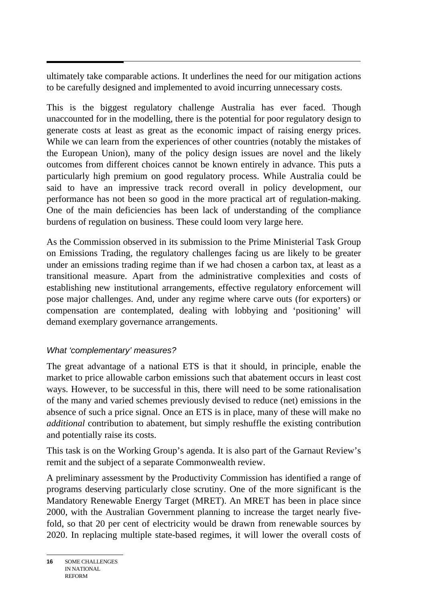ultimately take comparable actions. It underlines the need for our mitigation actions to be carefully designed and implemented to avoid incurring unnecessary costs.

This is the biggest regulatory challenge Australia has ever faced. Though unaccounted for in the modelling, there is the potential for poor regulatory design to generate costs at least as great as the economic impact of raising energy prices. While we can learn from the experiences of other countries (notably the mistakes of the European Union), many of the policy design issues are novel and the likely outcomes from different choices cannot be known entirely in advance. This puts a particularly high premium on good regulatory process. While Australia could be said to have an impressive track record overall in policy development, our performance has not been so good in the more practical art of regulation-making. One of the main deficiencies has been lack of understanding of the compliance burdens of regulation on business. These could loom very large here.

As the Commission observed in its submission to the Prime Ministerial Task Group on Emissions Trading, the regulatory challenges facing us are likely to be greater under an emissions trading regime than if we had chosen a carbon tax, at least as a transitional measure. Apart from the administrative complexities and costs of establishing new institutional arrangements, effective regulatory enforcement will pose major challenges. And, under any regime where carve outs (for exporters) or compensation are contemplated, dealing with lobbying and 'positioning' will demand exemplary governance arrangements.

# *What 'complementary' measures?*

The great advantage of a national ETS is that it should, in principle, enable the market to price allowable carbon emissions such that abatement occurs in least cost ways. However, to be successful in this, there will need to be some rationalisation of the many and varied schemes previously devised to reduce (net) emissions in the absence of such a price signal. Once an ETS is in place, many of these will make no *additional* contribution to abatement, but simply reshuffle the existing contribution and potentially raise its costs.

This task is on the Working Group's agenda. It is also part of the Garnaut Review's remit and the subject of a separate Commonwealth review.

A preliminary assessment by the Productivity Commission has identified a range of programs deserving particularly close scrutiny. One of the more significant is the Mandatory Renewable Energy Target (MRET). An MRET has been in place since 2000, with the Australian Government planning to increase the target nearly fivefold, so that 20 per cent of electricity would be drawn from renewable sources by 2020. In replacing multiple state-based regimes, it will lower the overall costs of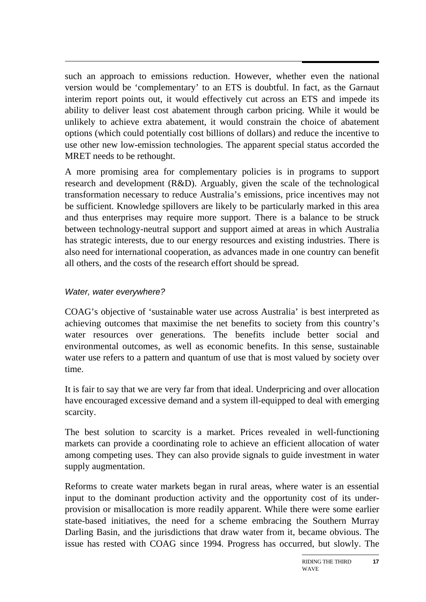such an approach to emissions reduction. However, whether even the national version would be 'complementary' to an ETS is doubtful. In fact, as the Garnaut interim report points out, it would effectively cut across an ETS and impede its ability to deliver least cost abatement through carbon pricing. While it would be unlikely to achieve extra abatement, it would constrain the choice of abatement options (which could potentially cost billions of dollars) and reduce the incentive to use other new low-emission technologies. The apparent special status accorded the MRET needs to be rethought.

A more promising area for complementary policies is in programs to support research and development (R&D). Arguably, given the scale of the technological transformation necessary to reduce Australia's emissions, price incentives may not be sufficient. Knowledge spillovers are likely to be particularly marked in this area and thus enterprises may require more support. There is a balance to be struck between technology-neutral support and support aimed at areas in which Australia has strategic interests, due to our energy resources and existing industries. There is also need for international cooperation, as advances made in one country can benefit all others, and the costs of the research effort should be spread.

### *Water, water everywhere?*

COAG's objective of 'sustainable water use across Australia' is best interpreted as achieving outcomes that maximise the net benefits to society from this country's water resources over generations. The benefits include better social and environmental outcomes, as well as economic benefits. In this sense, sustainable water use refers to a pattern and quantum of use that is most valued by society over time.

It is fair to say that we are very far from that ideal. Underpricing and over allocation have encouraged excessive demand and a system ill-equipped to deal with emerging scarcity.

The best solution to scarcity is a market. Prices revealed in well-functioning markets can provide a coordinating role to achieve an efficient allocation of water among competing uses. They can also provide signals to guide investment in water supply augmentation.

Reforms to create water markets began in rural areas, where water is an essential input to the dominant production activity and the opportunity cost of its underprovision or misallocation is more readily apparent. While there were some earlier state-based initiatives, the need for a scheme embracing the Southern Murray Darling Basin, and the jurisdictions that draw water from it, became obvious. The issue has rested with COAG since 1994. Progress has occurred, but slowly. The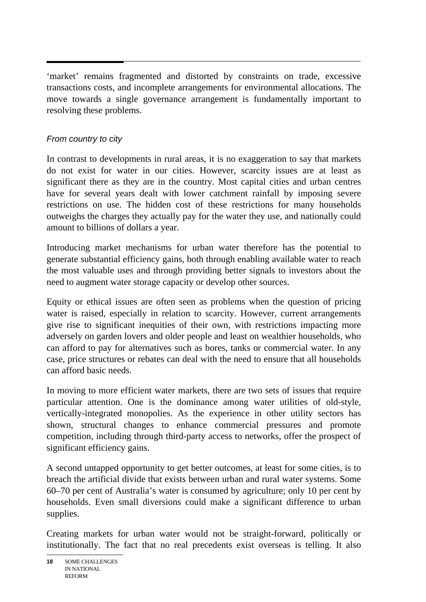$\overline{a}$ 'market' remains fragmented and distorted by constraints on trade, excessive transactions costs, and incomplete arrangements for environmental allocations. The move towards a single governance arrangement is fundamentally important to resolving these problems.

# *From country to city*

In contrast to developments in rural areas, it is no exaggeration to say that markets do not exist for water in our cities. However, scarcity issues are at least as significant there as they are in the country. Most capital cities and urban centres have for several years dealt with lower catchment rainfall by imposing severe restrictions on use. The hidden cost of these restrictions for many households outweighs the charges they actually pay for the water they use, and nationally could amount to billions of dollars a year.

Introducing market mechanisms for urban water therefore has the potential to generate substantial efficiency gains, both through enabling available water to reach the most valuable uses and through providing better signals to investors about the need to augment water storage capacity or develop other sources.

Equity or ethical issues are often seen as problems when the question of pricing water is raised, especially in relation to scarcity. However, current arrangements give rise to significant inequities of their own, with restrictions impacting more adversely on garden lovers and older people and least on wealthier households, who can afford to pay for alternatives such as bores, tanks or commercial water. In any case, price structures or rebates can deal with the need to ensure that all households can afford basic needs.

In moving to more efficient water markets, there are two sets of issues that require particular attention. One is the dominance among water utilities of old-style, vertically-integrated monopolies. As the experience in other utility sectors has shown, structural changes to enhance commercial pressures and promote competition, including through third-party access to networks, offer the prospect of significant efficiency gains.

A second untapped opportunity to get better outcomes, at least for some cities, is to breach the artificial divide that exists between urban and rural water systems. Some 60–70 per cent of Australia's water is consumed by agriculture; only 10 per cent by households. Even small diversions could make a significant difference to urban supplies.

Creating markets for urban water would not be straight-forward, politically or institutionally. The fact that no real precedents exist overseas is telling. It also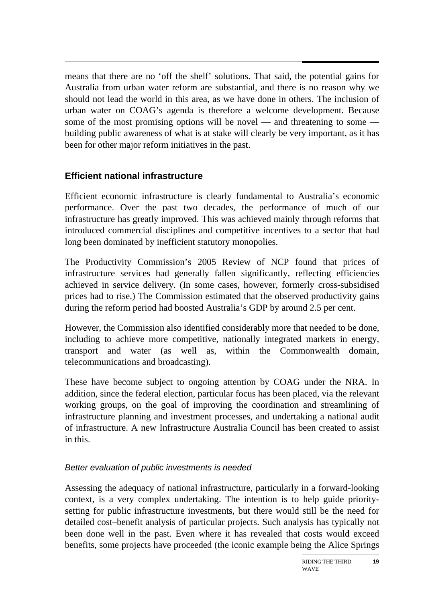means that there are no 'off the shelf' solutions. That said, the potential gains for Australia from urban water reform are substantial, and there is no reason why we should not lead the world in this area, as we have done in others. The inclusion of urban water on COAG's agenda is therefore a welcome development. Because some of the most promising options will be novel — and threatening to some building public awareness of what is at stake will clearly be very important, as it has been for other major reform initiatives in the past.

# **Efficient national infrastructure**

Efficient economic infrastructure is clearly fundamental to Australia's economic performance. Over the past two decades, the performance of much of our infrastructure has greatly improved. This was achieved mainly through reforms that introduced commercial disciplines and competitive incentives to a sector that had long been dominated by inefficient statutory monopolies.

The Productivity Commission's 2005 Review of NCP found that prices of infrastructure services had generally fallen significantly, reflecting efficiencies achieved in service delivery. (In some cases, however, formerly cross-subsidised prices had to rise.) The Commission estimated that the observed productivity gains during the reform period had boosted Australia's GDP by around 2.5 per cent.

However, the Commission also identified considerably more that needed to be done, including to achieve more competitive, nationally integrated markets in energy, transport and water (as well as, within the Commonwealth domain, telecommunications and broadcasting).

These have become subject to ongoing attention by COAG under the NRA. In addition, since the federal election, particular focus has been placed, via the relevant working groups, on the goal of improving the coordination and streamlining of infrastructure planning and investment processes, and undertaking a national audit of infrastructure. A new Infrastructure Australia Council has been created to assist in this.

## *Better evaluation of public investments is needed*

Assessing the adequacy of national infrastructure, particularly in a forward-looking context, is a very complex undertaking. The intention is to help guide prioritysetting for public infrastructure investments, but there would still be the need for detailed cost–benefit analysis of particular projects. Such analysis has typically not been done well in the past. Even where it has revealed that costs would exceed benefits, some projects have proceeded (the iconic example being the Alice Springs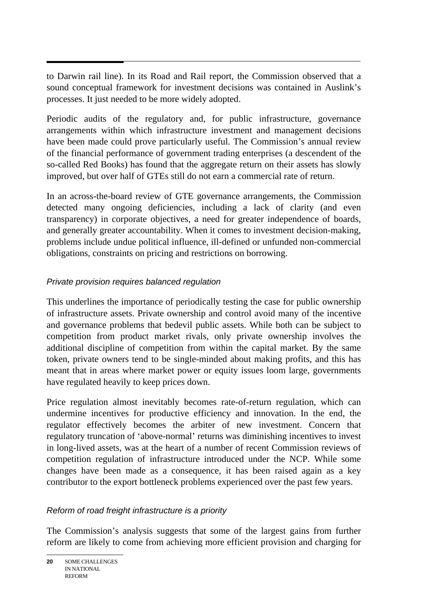to Darwin rail line). In its Road and Rail report, the Commission observed that a sound conceptual framework for investment decisions was contained in Auslink's processes. It just needed to be more widely adopted.

Periodic audits of the regulatory and, for public infrastructure, governance arrangements within which infrastructure investment and management decisions have been made could prove particularly useful. The Commission's annual review of the financial performance of government trading enterprises (a descendent of the so-called Red Books) has found that the aggregate return on their assets has slowly improved, but over half of GTEs still do not earn a commercial rate of return.

In an across-the-board review of GTE governance arrangements, the Commission detected many ongoing deficiencies, including a lack of clarity (and even transparency) in corporate objectives, a need for greater independence of boards, and generally greater accountability. When it comes to investment decision-making, problems include undue political influence, ill-defined or unfunded non-commercial obligations, constraints on pricing and restrictions on borrowing.

# *Private provision requires balanced regulation*

This underlines the importance of periodically testing the case for public ownership of infrastructure assets. Private ownership and control avoid many of the incentive and governance problems that bedevil public assets. While both can be subject to competition from product market rivals, only private ownership involves the additional discipline of competition from within the capital market. By the same token, private owners tend to be single-minded about making profits, and this has meant that in areas where market power or equity issues loom large, governments have regulated heavily to keep prices down.

Price regulation almost inevitably becomes rate-of-return regulation, which can undermine incentives for productive efficiency and innovation. In the end, the regulator effectively becomes the arbiter of new investment. Concern that regulatory truncation of 'above-normal' returns was diminishing incentives to invest in long-lived assets, was at the heart of a number of recent Commission reviews of competition regulation of infrastructure introduced under the NCP. While some changes have been made as a consequence, it has been raised again as a key contributor to the export bottleneck problems experienced over the past few years.

## *Reform of road freight infrastructure is a priority*

The Commission's analysis suggests that some of the largest gains from further reform are likely to come from achieving more efficient provision and charging for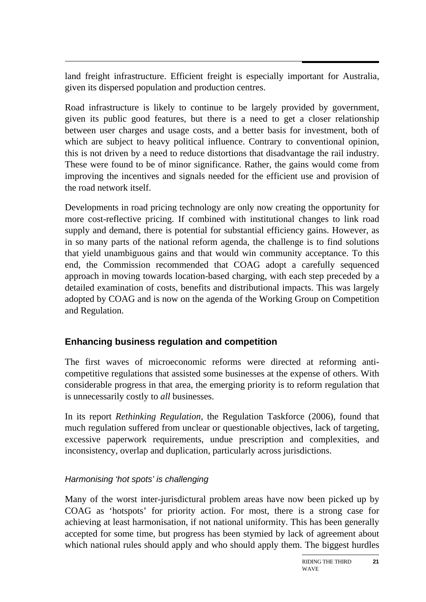$\overline{a}$ land freight infrastructure. Efficient freight is especially important for Australia, given its dispersed population and production centres.

Road infrastructure is likely to continue to be largely provided by government, given its public good features, but there is a need to get a closer relationship between user charges and usage costs, and a better basis for investment, both of which are subject to heavy political influence. Contrary to conventional opinion, this is not driven by a need to reduce distortions that disadvantage the rail industry. These were found to be of minor significance. Rather, the gains would come from improving the incentives and signals needed for the efficient use and provision of the road network itself.

Developments in road pricing technology are only now creating the opportunity for more cost-reflective pricing. If combined with institutional changes to link road supply and demand, there is potential for substantial efficiency gains. However, as in so many parts of the national reform agenda, the challenge is to find solutions that yield unambiguous gains and that would win community acceptance. To this end, the Commission recommended that COAG adopt a carefully sequenced approach in moving towards location-based charging, with each step preceded by a detailed examination of costs, benefits and distributional impacts. This was largely adopted by COAG and is now on the agenda of the Working Group on Competition and Regulation.

# **Enhancing business regulation and competition**

The first waves of microeconomic reforms were directed at reforming anticompetitive regulations that assisted some businesses at the expense of others. With considerable progress in that area, the emerging priority is to reform regulation that is unnecessarily costly to *all* businesses.

In its report *Rethinking Regulation,* the Regulation Taskforce (2006), found that much regulation suffered from unclear or questionable objectives, lack of targeting, excessive paperwork requirements, undue prescription and complexities, and inconsistency, overlap and duplication, particularly across jurisdictions.

# *Harmonising 'hot spots' is challenging*

Many of the worst inter-jurisdictural problem areas have now been picked up by COAG as 'hotspots' for priority action. For most, there is a strong case for achieving at least harmonisation, if not national uniformity. This has been generally accepted for some time, but progress has been stymied by lack of agreement about which national rules should apply and who should apply them. The biggest hurdles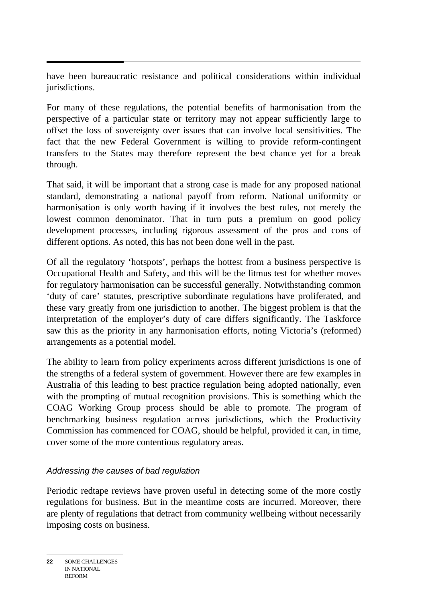$\overline{a}$ have been bureaucratic resistance and political considerations within individual jurisdictions.

For many of these regulations, the potential benefits of harmonisation from the perspective of a particular state or territory may not appear sufficiently large to offset the loss of sovereignty over issues that can involve local sensitivities. The fact that the new Federal Government is willing to provide reform-contingent transfers to the States may therefore represent the best chance yet for a break through.

That said, it will be important that a strong case is made for any proposed national standard, demonstrating a national payoff from reform. National uniformity or harmonisation is only worth having if it involves the best rules, not merely the lowest common denominator. That in turn puts a premium on good policy development processes, including rigorous assessment of the pros and cons of different options. As noted, this has not been done well in the past.

Of all the regulatory 'hotspots', perhaps the hottest from a business perspective is Occupational Health and Safety, and this will be the litmus test for whether moves for regulatory harmonisation can be successful generally. Notwithstanding common 'duty of care' statutes, prescriptive subordinate regulations have proliferated, and these vary greatly from one jurisdiction to another. The biggest problem is that the interpretation of the employer's duty of care differs significantly. The Taskforce saw this as the priority in any harmonisation efforts, noting Victoria's (reformed) arrangements as a potential model.

The ability to learn from policy experiments across different jurisdictions is one of the strengths of a federal system of government. However there are few examples in Australia of this leading to best practice regulation being adopted nationally, even with the prompting of mutual recognition provisions. This is something which the COAG Working Group process should be able to promote. The program of benchmarking business regulation across jurisdictions, which the Productivity Commission has commenced for COAG, should be helpful, provided it can, in time, cover some of the more contentious regulatory areas.

## *Addressing the causes of bad regulation*

Periodic redtape reviews have proven useful in detecting some of the more costly regulations for business. But in the meantime costs are incurred. Moreover, there are plenty of regulations that detract from community wellbeing without necessarily imposing costs on business.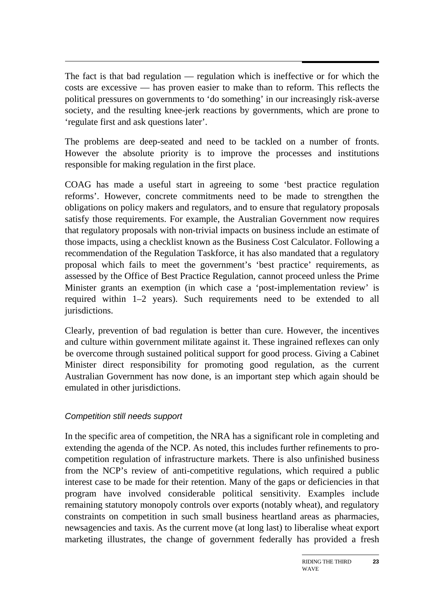$\overline{a}$ The fact is that bad regulation — regulation which is ineffective or for which the costs are excessive — has proven easier to make than to reform. This reflects the political pressures on governments to 'do something' in our increasingly risk-averse society, and the resulting knee-jerk reactions by governments, which are prone to 'regulate first and ask questions later'.

The problems are deep-seated and need to be tackled on a number of fronts. However the absolute priority is to improve the processes and institutions responsible for making regulation in the first place.

COAG has made a useful start in agreeing to some 'best practice regulation reforms'. However, concrete commitments need to be made to strengthen the obligations on policy makers and regulators, and to ensure that regulatory proposals satisfy those requirements. For example, the Australian Government now requires that regulatory proposals with non-trivial impacts on business include an estimate of those impacts, using a checklist known as the Business Cost Calculator. Following a recommendation of the Regulation Taskforce, it has also mandated that a regulatory proposal which fails to meet the government's 'best practice' requirements, as assessed by the Office of Best Practice Regulation, cannot proceed unless the Prime Minister grants an exemption (in which case a 'post-implementation review' is required within 1–2 years). Such requirements need to be extended to all jurisdictions.

Clearly, prevention of bad regulation is better than cure. However, the incentives and culture within government militate against it. These ingrained reflexes can only be overcome through sustained political support for good process. Giving a Cabinet Minister direct responsibility for promoting good regulation, as the current Australian Government has now done, is an important step which again should be emulated in other jurisdictions.

## *Competition still needs support*

In the specific area of competition, the NRA has a significant role in completing and extending the agenda of the NCP. As noted, this includes further refinements to procompetition regulation of infrastructure markets. There is also unfinished business from the NCP's review of anti-competitive regulations, which required a public interest case to be made for their retention. Many of the gaps or deficiencies in that program have involved considerable political sensitivity. Examples include remaining statutory monopoly controls over exports (notably wheat), and regulatory constraints on competition in such small business heartland areas as pharmacies, newsagencies and taxis. As the current move (at long last) to liberalise wheat export marketing illustrates, the change of government federally has provided a fresh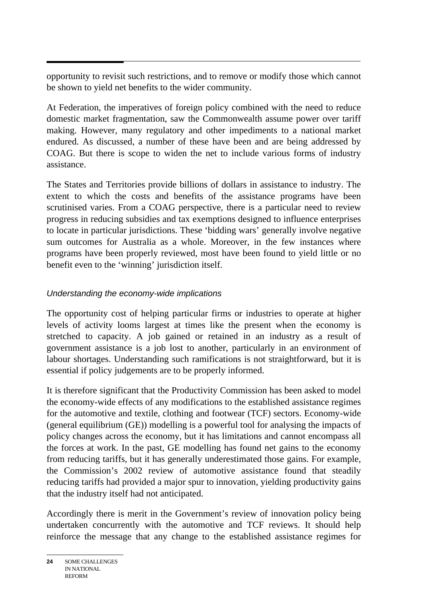opportunity to revisit such restrictions, and to remove or modify those which cannot be shown to yield net benefits to the wider community.

At Federation, the imperatives of foreign policy combined with the need to reduce domestic market fragmentation, saw the Commonwealth assume power over tariff making. However, many regulatory and other impediments to a national market endured. As discussed, a number of these have been and are being addressed by COAG. But there is scope to widen the net to include various forms of industry assistance.

The States and Territories provide billions of dollars in assistance to industry. The extent to which the costs and benefits of the assistance programs have been scrutinised varies. From a COAG perspective, there is a particular need to review progress in reducing subsidies and tax exemptions designed to influence enterprises to locate in particular jurisdictions. These 'bidding wars' generally involve negative sum outcomes for Australia as a whole. Moreover, in the few instances where programs have been properly reviewed, most have been found to yield little or no benefit even to the 'winning' jurisdiction itself.

## *Understanding the economy-wide implications*

The opportunity cost of helping particular firms or industries to operate at higher levels of activity looms largest at times like the present when the economy is stretched to capacity. A job gained or retained in an industry as a result of government assistance is a job lost to another, particularly in an environment of labour shortages. Understanding such ramifications is not straightforward, but it is essential if policy judgements are to be properly informed.

It is therefore significant that the Productivity Commission has been asked to model the economy-wide effects of any modifications to the established assistance regimes for the automotive and textile, clothing and footwear (TCF) sectors. Economy-wide (general equilibrium (GE)) modelling is a powerful tool for analysing the impacts of policy changes across the economy, but it has limitations and cannot encompass all the forces at work. In the past, GE modelling has found net gains to the economy from reducing tariffs, but it has generally underestimated those gains. For example, the Commission's 2002 review of automotive assistance found that steadily reducing tariffs had provided a major spur to innovation, yielding productivity gains that the industry itself had not anticipated.

Accordingly there is merit in the Government's review of innovation policy being undertaken concurrently with the automotive and TCF reviews. It should help reinforce the message that any change to the established assistance regimes for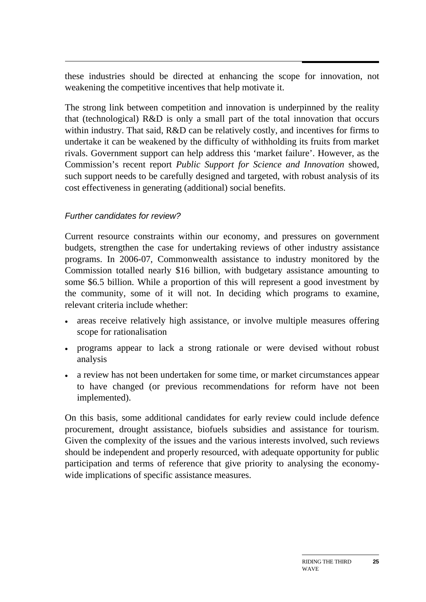these industries should be directed at enhancing the scope for innovation, not weakening the competitive incentives that help motivate it.

The strong link between competition and innovation is underpinned by the reality that (technological) R&D is only a small part of the total innovation that occurs within industry. That said, R&D can be relatively costly, and incentives for firms to undertake it can be weakened by the difficulty of withholding its fruits from market rivals. Government support can help address this 'market failure'. However, as the Commission's recent report *Public Support for Science and Innovation* showed, such support needs to be carefully designed and targeted, with robust analysis of its cost effectiveness in generating (additional) social benefits.

### *Further candidates for review?*

Current resource constraints within our economy, and pressures on government budgets, strengthen the case for undertaking reviews of other industry assistance programs. In 2006-07, Commonwealth assistance to industry monitored by the Commission totalled nearly \$16 billion, with budgetary assistance amounting to some \$6.5 billion. While a proportion of this will represent a good investment by the community, some of it will not. In deciding which programs to examine, relevant criteria include whether:

- areas receive relatively high assistance, or involve multiple measures offering scope for rationalisation
- programs appear to lack a strong rationale or were devised without robust analysis
- a review has not been undertaken for some time, or market circumstances appear to have changed (or previous recommendations for reform have not been implemented).

On this basis, some additional candidates for early review could include defence procurement, drought assistance, biofuels subsidies and assistance for tourism. Given the complexity of the issues and the various interests involved, such reviews should be independent and properly resourced, with adequate opportunity for public participation and terms of reference that give priority to analysing the economywide implications of specific assistance measures.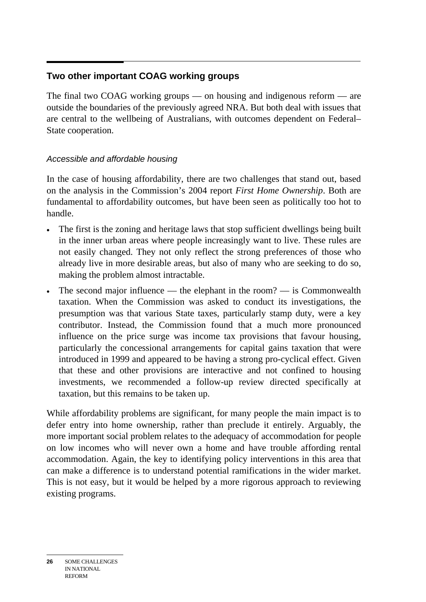#### $\overline{a}$ **Two other important COAG working groups**

The final two COAG working groups — on housing and indigenous reform — are outside the boundaries of the previously agreed NRA. But both deal with issues that are central to the wellbeing of Australians, with outcomes dependent on Federal– State cooperation.

# *Accessible and affordable housing*

In the case of housing affordability, there are two challenges that stand out, based on the analysis in the Commission's 2004 report *First Home Ownership*. Both are fundamental to affordability outcomes, but have been seen as politically too hot to handle.

- The first is the zoning and heritage laws that stop sufficient dwellings being built in the inner urban areas where people increasingly want to live. These rules are not easily changed. They not only reflect the strong preferences of those who already live in more desirable areas, but also of many who are seeking to do so, making the problem almost intractable.
- The second major influence the elephant in the room? is Commonwealth taxation. When the Commission was asked to conduct its investigations, the presumption was that various State taxes, particularly stamp duty, were a key contributor. Instead, the Commission found that a much more pronounced influence on the price surge was income tax provisions that favour housing, particularly the concessional arrangements for capital gains taxation that were introduced in 1999 and appeared to be having a strong pro-cyclical effect. Given that these and other provisions are interactive and not confined to housing investments, we recommended a follow-up review directed specifically at taxation, but this remains to be taken up.

While affordability problems are significant, for many people the main impact is to defer entry into home ownership, rather than preclude it entirely. Arguably, the more important social problem relates to the adequacy of accommodation for people on low incomes who will never own a home and have trouble affording rental accommodation. Again, the key to identifying policy interventions in this area that can make a difference is to understand potential ramifications in the wider market. This is not easy, but it would be helped by a more rigorous approach to reviewing existing programs.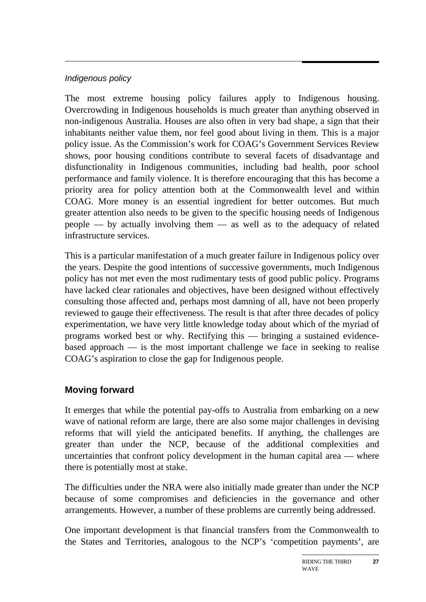### *Indigenous policy*

The most extreme housing policy failures apply to Indigenous housing. Overcrowding in Indigenous households is much greater than anything observed in non-indigenous Australia. Houses are also often in very bad shape, a sign that their inhabitants neither value them, nor feel good about living in them. This is a major policy issue. As the Commission's work for COAG's Government Services Review shows, poor housing conditions contribute to several facets of disadvantage and disfunctionality in Indigenous communities, including bad health, poor school performance and family violence. It is therefore encouraging that this has become a priority area for policy attention both at the Commonwealth level and within COAG. More money is an essential ingredient for better outcomes. But much greater attention also needs to be given to the specific housing needs of Indigenous people — by actually involving them — as well as to the adequacy of related infrastructure services.

This is a particular manifestation of a much greater failure in Indigenous policy over the years. Despite the good intentions of successive governments, much Indigenous policy has not met even the most rudimentary tests of good public policy. Programs have lacked clear rationales and objectives, have been designed without effectively consulting those affected and, perhaps most damning of all, have not been properly reviewed to gauge their effectiveness. The result is that after three decades of policy experimentation, we have very little knowledge today about which of the myriad of programs worked best or why. Rectifying this — bringing a sustained evidencebased approach — is the most important challenge we face in seeking to realise COAG's aspiration to close the gap for Indigenous people.

# **Moving forward**

It emerges that while the potential pay-offs to Australia from embarking on a new wave of national reform are large, there are also some major challenges in devising reforms that will yield the anticipated benefits. If anything, the challenges are greater than under the NCP, because of the additional complexities and uncertainties that confront policy development in the human capital area — where there is potentially most at stake.

The difficulties under the NRA were also initially made greater than under the NCP because of some compromises and deficiencies in the governance and other arrangements. However, a number of these problems are currently being addressed.

One important development is that financial transfers from the Commonwealth to the States and Territories, analogous to the NCP's 'competition payments', are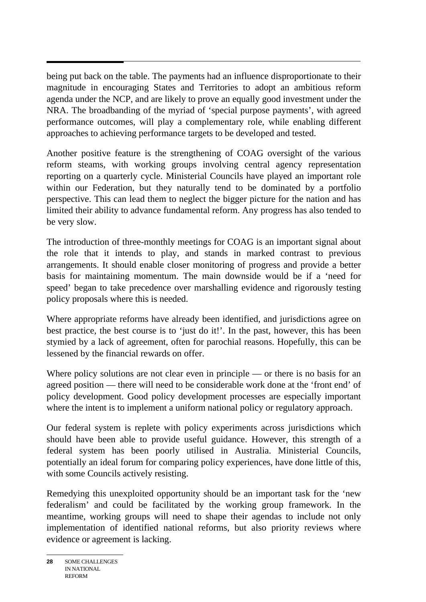$\overline{a}$ being put back on the table. The payments had an influence disproportionate to their magnitude in encouraging States and Territories to adopt an ambitious reform agenda under the NCP, and are likely to prove an equally good investment under the NRA. The broadbanding of the myriad of 'special purpose payments', with agreed performance outcomes, will play a complementary role, while enabling different approaches to achieving performance targets to be developed and tested.

Another positive feature is the strengthening of COAG oversight of the various reform steams, with working groups involving central agency representation reporting on a quarterly cycle. Ministerial Councils have played an important role within our Federation, but they naturally tend to be dominated by a portfolio perspective. This can lead them to neglect the bigger picture for the nation and has limited their ability to advance fundamental reform. Any progress has also tended to be very slow.

The introduction of three-monthly meetings for COAG is an important signal about the role that it intends to play, and stands in marked contrast to previous arrangements. It should enable closer monitoring of progress and provide a better basis for maintaining momentum. The main downside would be if a 'need for speed' began to take precedence over marshalling evidence and rigorously testing policy proposals where this is needed.

Where appropriate reforms have already been identified, and jurisdictions agree on best practice, the best course is to 'just do it!'. In the past, however, this has been stymied by a lack of agreement, often for parochial reasons. Hopefully, this can be lessened by the financial rewards on offer.

Where policy solutions are not clear even in principle — or there is no basis for an agreed position — there will need to be considerable work done at the 'front end' of policy development. Good policy development processes are especially important where the intent is to implement a uniform national policy or regulatory approach.

Our federal system is replete with policy experiments across jurisdictions which should have been able to provide useful guidance. However, this strength of a federal system has been poorly utilised in Australia. Ministerial Councils, potentially an ideal forum for comparing policy experiences, have done little of this, with some Councils actively resisting.

Remedying this unexploited opportunity should be an important task for the 'new federalism' and could be facilitated by the working group framework. In the meantime, working groups will need to shape their agendas to include not only implementation of identified national reforms, but also priority reviews where evidence or agreement is lacking.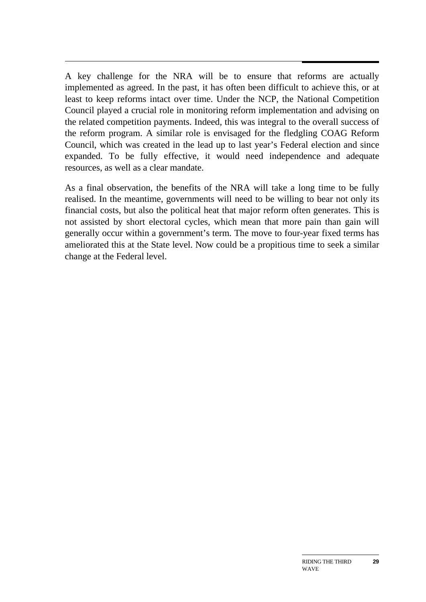A key challenge for the NRA will be to ensure that reforms are actually implemented as agreed. In the past, it has often been difficult to achieve this, or at least to keep reforms intact over time. Under the NCP, the National Competition Council played a crucial role in monitoring reform implementation and advising on the related competition payments. Indeed, this was integral to the overall success of the reform program. A similar role is envisaged for the fledgling COAG Reform Council, which was created in the lead up to last year's Federal election and since expanded. To be fully effective, it would need independence and adequate resources, as well as a clear mandate.

As a final observation, the benefits of the NRA will take a long time to be fully realised. In the meantime, governments will need to be willing to bear not only its financial costs, but also the political heat that major reform often generates. This is not assisted by short electoral cycles, which mean that more pain than gain will generally occur within a government's term. The move to four-year fixed terms has ameliorated this at the State level. Now could be a propitious time to seek a similar change at the Federal level.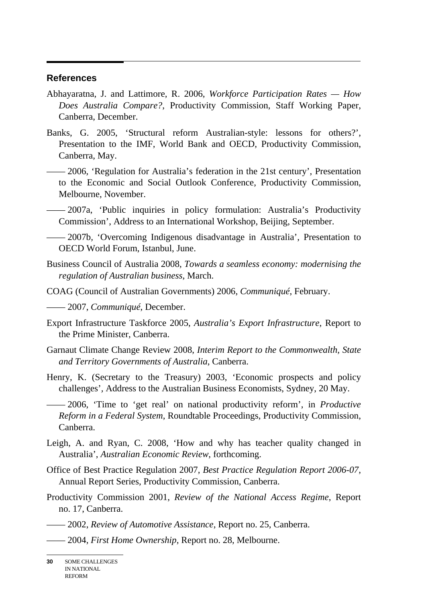#### **References**

- Abhayaratna, J. and Lattimore, R. 2006, *Workforce Participation Rates How Does Australia Compare?*, Productivity Commission, Staff Working Paper, Canberra, December.
- Banks, G. 2005, 'Structural reform Australian-style: lessons for others?', Presentation to the IMF, World Bank and OECD, Productivity Commission, Canberra, May.
- —— 2006, 'Regulation for Australia's federation in the 21st century', Presentation to the Economic and Social Outlook Conference, Productivity Commission, Melbourne, November.
- —— 2007a, 'Public inquiries in policy formulation: Australia's Productivity Commission', Address to an International Workshop, Beijing, September.
- —— 2007b*,* 'Overcoming Indigenous disadvantage in Australia', Presentation to OECD World Forum, Istanbul, June.
- Business Council of Australia 2008, *Towards a seamless economy: modernising the regulation of Australian business*, March.
- COAG (Council of Australian Governments) 2006, *Communiqué*, February.
- —— 2007, *Communiqué*, December.
- Export Infrastructure Taskforce 2005, *Australia's Export Infrastructure*, Report to the Prime Minister, Canberra.
- Garnaut Climate Change Review 2008, *Interim Report to the Commonwealth, State and Territory Governments of Australia*, Canberra.
- Henry, K. (Secretary to the Treasury) 2003, 'Economic prospects and policy challenges'*,* Address to the Australian Business Economists, Sydney, 20 May.
- —— 2006, 'Time to 'get real' on national productivity reform', in *Productive Reform in a Federal System*, Roundtable Proceedings, Productivity Commission, Canberra.
- Leigh, A. and Ryan, C. 2008, 'How and why has teacher quality changed in Australia', *Australian Economic Review*, forthcoming.
- Office of Best Practice Regulation 2007, *Best Practice Regulation Report 2006-07*, Annual Report Series, Productivity Commission, Canberra.
- Productivity Commission 2001, *Review of the National Access Regime*, Report no. 17, Canberra.
- —— 2002, *Review of Automotive Assistance*, Report no. 25, Canberra.
- —— 2004, *First Home Ownership*, Report no. 28, Melbourne.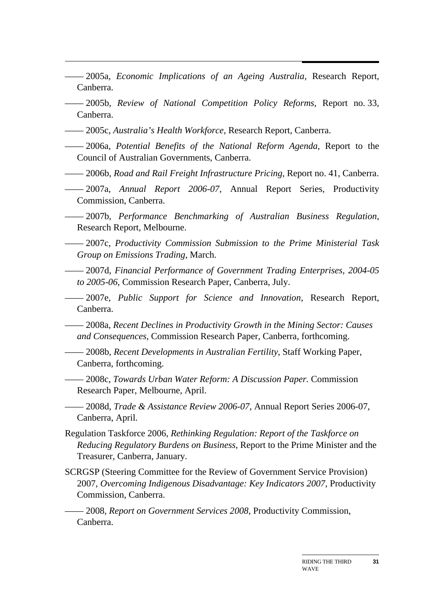- —— 2005a, *Economic Implications of an Ageing Australia*, Research Report, Canberra.
- —— 2005b, *Review of National Competition Policy Reforms*, Report no. 33, Canberra.
- —— 2005c, *Australia's Health Workforce*, Research Report, Canberra.
- —— 2006a, *Potential Benefits of the National Reform Agenda*, Report to the Council of Australian Governments, Canberra.
- —— 2006b, *Road and Rail Freight Infrastructure Pricing*, Report no. 41, Canberra.
- —— 2007a, *Annual Report 2006-07*, Annual Report Series, Productivity Commission, Canberra.
- —— 2007b, *Performance Benchmarking of Australian Business Regulation*, Research Report, Melbourne.
- —— 2007c, *Productivity Commission Submission to the Prime Ministerial Task Group on Emissions Trading*, March.
- —— 2007d, *Financial Performance of Government Trading Enterprises, 2004-05 to 2005-06*, Commission Research Paper, Canberra, July.
- —— 2007e, *Public Support for Science and Innovation*, Research Report, Canberra.
- —— 2008a, *Recent Declines in Productivity Growth in the Mining Sector: Causes and Consequences*, Commission Research Paper, Canberra, forthcoming.
- —— 2008b, *Recent Developments in Australian Fertility*, Staff Working Paper, Canberra, forthcoming.
- —— 2008c, *Towards Urban Water Reform: A Discussion Paper.* Commission Research Paper, Melbourne, April.
- —— 2008d, *Trade & Assistance Review 2006-07*, Annual Report Series 2006-07, Canberra, April.
- Regulation Taskforce 2006, *Rethinking Regulation: Report of the Taskforce on Reducing Regulatory Burdens on Business*, Report to the Prime Minister and the Treasurer, Canberra, January.
- SCRGSP (Steering Committee for the Review of Government Service Provision) 2007, *Overcoming Indigenous Disadvantage: Key Indicators 2007*, Productivity Commission, Canberra.

—— 2008, *Report on Government Services 2008*, Productivity Commission, Canberra.